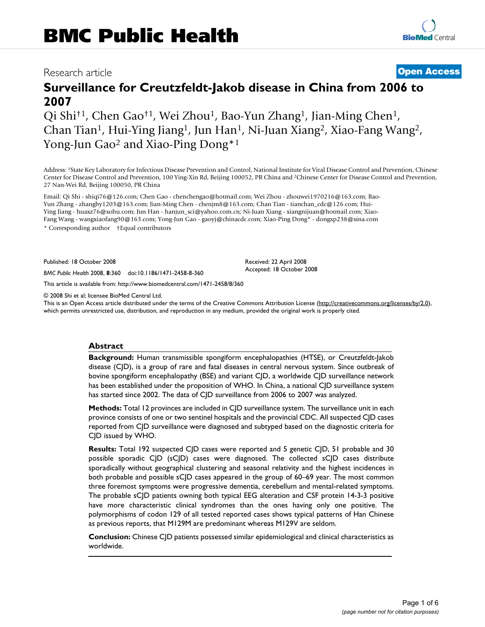# Research article **[Open Access](http://www.biomedcentral.com/info/about/charter/)**

# **Surveillance for Creutzfeldt-Jakob disease in China from 2006 to 2007**

Qi Shi†1, Chen Gao†1, Wei Zhou1, Bao-Yun Zhang1, Jian-Ming Chen1, Chan Tian1, Hui-Ying Jiang1, Jun Han1, Ni-Juan Xiang2, Xiao-Fang Wang2, Yong-Jun Gao<sup>2</sup> and Xiao-Ping Dong<sup>\*1</sup>

Address: 1State Key Laboratory for Infectious Disease Prevention and Control, National Institute for Viral Disease Control and Prevention, Chinese Center for Disease Control and Prevention, 100 Ying-Xin Rd, Beijing 100052, PR China and 2Chinese Center for Disease Control and Prevention, 27 Nan-Wei Rd, Beijing 100050, PR China

Email: Qi Shi - shiqi76@126.com; Chen Gao - chenchengao@hotmail.com; Wei Zhou - zhouwei1970216@163.com; Bao-Yun Zhang - zhangby1203@163.com; Jian-Ming Chen - chenjm8@163.com; Chan Tian - tianchan\_cdc@126.com; Hui-Ying Jiang - huaxz76@sohu.com; Jun Han - hanjun\_sci@yahoo.com.cn; Ni-Juan Xiang - xiangnijuan@hotmail.com; Xiao-Fang Wang - wangxiaofang90@163.com; Yong-Jun Gao - gaoyj@chinacdc.com; Xiao-Ping Dong\* - dongxp238@sina.com \* Corresponding author †Equal contributors

Published: 18 October 2008

*BMC Public Health* 2008, **8**:360 doi:10.1186/1471-2458-8-360

[This article is available from: http://www.biomedcentral.com/1471-2458/8/360](http://www.biomedcentral.com/1471-2458/8/360)

© 2008 Shi et al; licensee BioMed Central Ltd.

This is an Open Access article distributed under the terms of the Creative Commons Attribution License [\(http://creativecommons.org/licenses/by/2.0\)](http://creativecommons.org/licenses/by/2.0), which permits unrestricted use, distribution, and reproduction in any medium, provided the original work is properly cited.

Received: 22 April 2008 Accepted: 18 October 2008

#### **Abstract**

**Background:** Human transmissible spongiform encephalopathies (HTSE), or Creutzfeldt-Jakob disease (CJD), is a group of rare and fatal diseases in central nervous system. Since outbreak of bovine spongiform encephalopathy (BSE) and variant CJD, a worldwide CJD surveillance network has been established under the proposition of WHO. In China, a national CJD surveillance system has started since 2002. The data of CJD surveillance from 2006 to 2007 was analyzed.

**Methods:** Total 12 provinces are included in C|D surveillance system. The surveillance unit in each province consists of one or two sentinel hospitals and the provincial CDC. All suspected CJD cases reported from CJD surveillance were diagnosed and subtyped based on the diagnostic criteria for CJD issued by WHO.

**Results:** Total 192 suspected CJD cases were reported and 5 genetic CJD, 51 probable and 30 possible sporadic CJD (sCJD) cases were diagnosed. The collected sCJD cases distribute sporadically without geographical clustering and seasonal relativity and the highest incidences in both probable and possible sCJD cases appeared in the group of 60–69 year. The most common three foremost symptoms were progressive dementia, cerebellum and mental-related symptoms. The probable sCJD patients owning both typical EEG alteration and CSF protein 14-3-3 positive have more characteristic clinical syndromes than the ones having only one positive. The polymorphisms of codon 129 of all tested reported cases shows typical patterns of Han Chinese as previous reports, that M129M are predominant whereas M129V are seldom.

**Conclusion:** Chinese CJD patients possessed similar epidemiological and clinical characteristics as worldwide.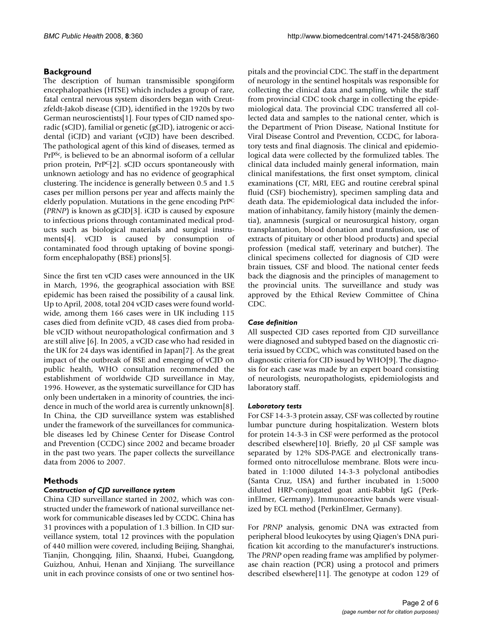# **Background**

The description of human transmissible spongiform encephalopathies (HTSE) which includes a group of rare, fatal central nervous system disorders began with Creutzfeldt-Jakob disease (CJD), identified in the 1920s by two German neuroscientists[1]. Four types of CJD named sporadic (sCJD), familial or genetic (gCJD), iatrogenic or accidental (iCJD) and variant (vCJD) have been described. The pathological agent of this kind of diseases, termed as PrPSc, is believed to be an abnormal isoform of a cellular prion protein, PrPC[2]. sCJD occurs spontaneously with unknown aetiology and has no evidence of geographical clustering. The incidence is generally between 0.5 and 1.5 cases per million persons per year and affects mainly the elderly population. Mutations in the gene encoding PrPC (*PRNP*) is known as gCJD[3]. iCJD is caused by exposure to infectious prions through contaminated medical products such as biological materials and surgical instruments[4]. vCJD is caused by consumption of contaminated food through uptaking of bovine spongiform encephalopathy (BSE) prions[5].

Since the first ten vCJD cases were announced in the UK in March, 1996, the geographical association with BSE epidemic has been raised the possibility of a causal link. Up to April, 2008, total 204 vCJD cases were found worldwide, among them 166 cases were in UK including 115 cases died from definite vCJD, 48 cases died from probable vCJD without neuropathological confirmation and 3 are still alive [6]. In 2005, a vCJD case who had resided in the UK for 24 days was identified in Japan[7]. As the great impact of the outbreak of BSE and emerging of vCJD on public health, WHO consultation recommended the establishment of worldwide CJD surveillance in May, 1996. However, as the systematic surveillance for CJD has only been undertaken in a minority of countries, the incidence in much of the world area is currently unknown[8]. In China, the CJD surveillance system was established under the framework of the surveillances for communicable diseases led by Chinese Center for Disease Control and Prevention (CCDC) since 2002 and became broader in the past two years. The paper collects the surveillance data from 2006 to 2007.

# **Methods**

# *Construction of CJD surveillance system*

China CJD surveillance started in 2002, which was constructed under the framework of national surveillance network for communicable diseases led by CCDC. China has 31 provinces with a population of 1.3 billion. In CJD surveillance system, total 12 provinces with the population of 440 million were covered, including Beijing, Shanghai, Tianjin, Chongqing, Jilin, Shaanxi, Hubei, Guangdong, Guizhou, Anhui, Henan and Xinjiang. The surveillance unit in each province consists of one or two sentinel hospitals and the provincial CDC. The staff in the department of neurology in the sentinel hospitals was responsible for collecting the clinical data and sampling, while the staff from provincial CDC took charge in collecting the epidemiological data. The provincial CDC transferred all collected data and samples to the national center, which is the Department of Prion Disease, National Institute for Viral Disease Control and Prevention, CCDC, for laboratory tests and final diagnosis. The clinical and epidemiological data were collected by the formulized tables. The clinical data included mainly general information, main clinical manifestations, the first onset symptom, clinical examinations (CT, MRI, EEG and routine cerebral spinal fluid (CSF) biochemistry), specimen sampling data and death data. The epidemiological data included the information of inhabitancy, family history (mainly the dementia), anamnesis (surgical or neurosurgical history, organ transplantation, blood donation and transfusion, use of extracts of pituitary or other blood products) and special profession (medical staff, veterinary and butcher). The clinical specimens collected for diagnosis of CJD were brain tissues, CSF and blood. The national center feeds back the diagnosis and the principles of management to the provincial units. The surveillance and study was approved by the Ethical Review Committee of China CDC.

# *Case definition*

All suspected CJD cases reported from CJD surveillance were diagnosed and subtyped based on the diagnostic criteria issued by CCDC, which was constituted based on the diagnostic criteria for CJD issued by WHO[9]. The diagnosis for each case was made by an expert board consisting of neurologists, neuropathologists, epidemiologists and laboratory staff.

### *Laboratory tests*

For CSF 14-3-3 protein assay, CSF was collected by routine lumbar puncture during hospitalization. Western blots for protein 14-3-3 in CSF were performed as the protocol described elsewhere[10]. Briefly, 20 μl CSF sample was separated by 12% SDS-PAGE and electronically transformed onto nitrocellulose membrane. Blots were incubated in 1:1000 diluted 14-3-3 polyclonal antibodies (Santa Cruz, USA) and further incubated in 1:5000 diluted HRP-conjugated goat anti-Rabbit IgG (PerkinElmer, Germany). Immunoreactive bands were visualized by ECL method (PerkinElmer, Germany).

For *PRNP* analysis, genomic DNA was extracted from peripheral blood leukocytes by using Qiagen's DNA purification kit according to the manufacturer's instructions. The *PRNP* open reading frame was amplified by polymerase chain reaction (PCR) using a protocol and primers described elsewhere[11]. The genotype at codon 129 of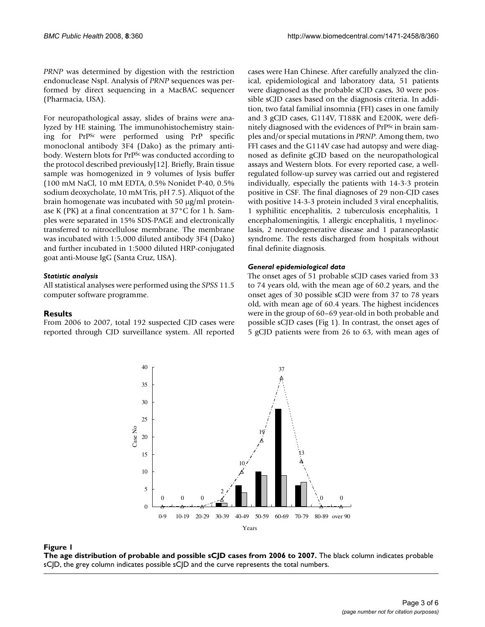*PRNP* was determined by digestion with the restriction endonuclease NspI. Analysis of *PRNP* sequences was performed by direct sequencing in a MacBAC sequencer (Pharmacia, USA).

For neuropathological assay, slides of brains were analyzed by HE staining. The immunohistochemistry staining for PrPSc were performed using PrP specific monoclonal antibody 3F4 (Dako) as the primary antibody. Western blots for PrPSc was conducted according to the protocol described previously[12]. Briefly, Brain tissue sample was homogenized in 9 volumes of lysis buffer (100 mM NaCl, 10 mM EDTA, 0.5% Nonidet P-40, 0.5% sodium deoxycholate, 10 mM Tris, pH 7.5). Aliquot of the brain homogenate was incubated with 50 μg/ml proteinase K (PK) at a final concentration at 37°C for 1 h. Samples were separated in 15% SDS-PAGE and electronically transferred to nitrocellulose membrane. The membrane was incubated with 1:5,000 diluted antibody 3F4 (Dako) and further incubated in 1:5000 diluted HRP-conjugated goat anti-Mouse IgG (Santa Cruz, USA).

### *Statistic analysis*

All statistical analyses were performed using the *SPSS* 11.5 computer software programme.

### **Results**

From 2006 to 2007, total 192 suspected CJD cases were reported through CJD surveillance system. All reported cases were Han Chinese. After carefully analyzed the clinical, epidemiological and laboratory data, 51 patients were diagnosed as the probable sCJD cases, 30 were possible sCJD cases based on the diagnosis criteria. In addition, two fatal familial insomnia (FFI) cases in one family and 3 gCJD cases, G114V, T188K and E200K, were definitely diagnosed with the evidences of PrP<sup>Sc</sup> in brain samples and/or special mutations in *PRNP*. Among them, two FFI cases and the G114V case had autopsy and were diagnosed as definite gCJD based on the neuropathological assays and Western blots. For every reported case, a wellregulated follow-up survey was carried out and registered individually, especially the patients with 14-3-3 protein positive in CSF. The final diagnoses of 29 non-CJD cases with positive 14-3-3 protein included 3 viral encephalitis, 1 syphilitic encephalitis, 2 tuberculosis encephalitis, 1 encephalomeningitis, 1 allergic encephalitis, 1 myelinoclasis, 2 neurodegenerative disease and 1 paraneoplastic syndrome. The rests discharged from hospitals without final definite diagnosis.

# *General epidemiological data*

The onset ages of 51 probable sCJD cases varied from 33 to 74 years old, with the mean age of 60.2 years, and the onset ages of 30 possible sCJD were from 37 to 78 years old, with mean age of 60.4 years. The highest incidences were in the group of 60–69 year-old in both probable and possible sCJD cases (Fig 1). In contrast, the onset ages of 5 gCJD patients were from 26 to 63, with mean ages of



#### Figure 1 **The age distribution of probable and possible sCJD cases from 2006 to 2007.** The black column indicates probable sCJD, the grey column indicates possible sCJD and the curve represents the total numbers.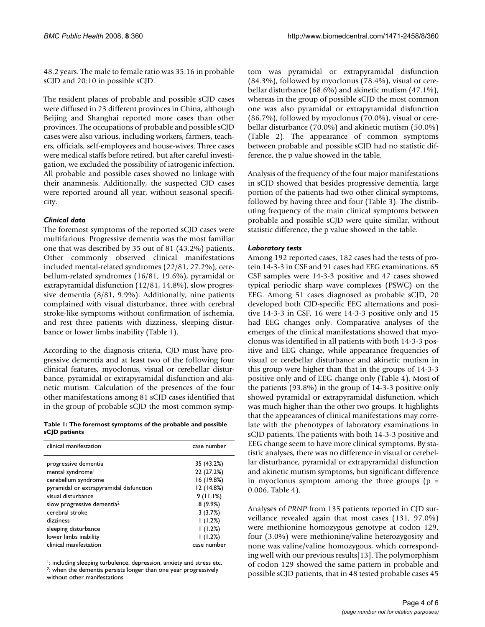48.2 years. The male to female ratio was 35:16 in probable sCJD and 20:10 in possible sCJD.

The resident places of probable and possible sCJD cases were diffused in 23 different provinces in China, although Beijing and Shanghai reported more cases than other provinces. The occupations of probable and possible sCJD cases were also various, including workers, farmers, teachers, officials, self-employees and house-wives. Three cases were medical staffs before retired, but after careful investigation, we excluded the possibility of iatrogenic infection. All probable and possible cases showed no linkage with their anamnesis. Additionally, the suspected CJD cases were reported around all year, without seasonal specificity.

# *Clinical data*

The foremost symptoms of the reported sCJD cases were multifarious. Progressive dementia was the most familiar one that was described by 35 out of 81 (43.2%) patients. Other commonly observed clinical manifestations included mental-related syndromes (22/81, 27.2%), cerebellum-related syndromes (16/81, 19.6%), pyramidal or extrapyramidal disfunction (12/81, 14.8%), slow progressive dementia (8/81, 9.9%). Additionally, nine patients complained with visual disturbance, three with cerebral stroke-like symptoms without confirmation of ischemia, and rest three patients with dizziness, sleeping disturbance or lower limbs inability (Table 1).

According to the diagnosis criteria, CJD must have progressive dementia and at least two of the following four clinical features, myoclonus, visual or cerebellar disturbance, pyramidal or extrapyramidal disfunction and akinetic mutism. Calculation of the presences of the four other manifestations among 81 sCJD cases identified that in the group of probable sCJD the most common symp-

#### **Table 1: The foremost symptoms of the probable and possible sCJD patients**

| clinical manifestation                  | case number |  |  |
|-----------------------------------------|-------------|--|--|
| progressive dementia                    | 35 (43.2%)  |  |  |
| mental syndrome <sup>1</sup>            | 22 (27.2%)  |  |  |
| cerebellum syndrome                     | 16 (19.8%)  |  |  |
| pyramidal or extrapyramidal disfunction | 12 (14.8%)  |  |  |
| visual disturbance                      | 9(11.1%)    |  |  |
| slow progressive dementia <sup>2</sup>  | 8(9.9%)     |  |  |
| cerebral stroke                         | 3(3.7%)     |  |  |
| dizziness                               | (1.2%)      |  |  |
| sleeping disturbance                    | (1.2%)      |  |  |
| lower limbs inability                   | 1(1.2%)     |  |  |
| clinical manifestation                  | case number |  |  |

<sup>1</sup>: including sleeping turbulence, depression, anxiety and stress etc. 2: when the dementia persists longer than one year progressively without other manifestations

tom was pyramidal or extrapyramidal disfunction (84.3%), followed by myoclonus (78.4%), visual or cerebellar disturbance (68.6%) and akinetic mutism (47.1%), whereas in the group of possible sCJD the most common one was also pyramidal or extrapyramidal disfunction (86.7%), followed by myoclonus (70.0%), visual or cerebellar disturbance (70.0%) and akinetic mutism (50.0%) (Table 2). The appearance of common symptoms between probable and possible sCJD had no statistic difference, the p value showed in the table.

Analysis of the frequency of the four major manifestations in sCJD showed that besides progressive dementia, large portion of the patients had two other clinical symptoms, followed by having three and four (Table 3). The distributing frequency of the main clinical symptoms between probable and possible sCJD were quite similar, without statistic difference, the p value showed in the table.

### *Laboratory tests*

Among 192 reported cases, 182 cases had the tests of protein 14-3-3 in CSF and 91 cases had EEG examinations. 65 CSF samples were 14-3-3 positive and 47 cases showed typical periodic sharp wave complexes (PSWC) on the EEG. Among 51 cases diagnosed as probable sCJD, 20 developed both CJD-specific EEG alternations and positive 14-3-3 in CSF, 16 were 14-3-3 positive only and 15 had EEG changes only. Comparative analyses of the emerges of the clinical manifestations showed that myoclonus was identified in all patients with both 14-3-3 positive and EEG change, while appearance frequencies of visual or cerebellar disturbance and akinetic mutism in this group were higher than that in the groups of 14-3-3 positive only and of EEG change only (Table 4). Most of the patients (93.8%) in the group of 14-3-3 positive only showed pyramidal or extrapyramidal disfunction, which was much higher than the other two groups. It highlights that the appearances of clinical manifestations may correlate with the phenotypes of laboratory examinations in sCJD patients. The patients with both 14-3-3 positive and EEG change seem to have more clinical symptoms. By statistic analyses, there was no difference in visual or cerebellar disturbance, pyramidal or extrapyramidal disfunction and akinetic mutism symptoms, but significant difference in myoclonus symptom among the three groups ( $p =$ 0.006, Table 4).

Analyses of *PRNP* from 135 patients reported in CJD surveillance revealed again that most cases (131, 97.0%) were methionine homozygous genotype at codon 129, four (3.0%) were methionine/valine heterozygosity and none was valine/valine homozygous, which corresponding well with our previous results[13]. The polymorphism of codon 129 showed the same pattern in probable and possible sCJD patients, that in 48 tested probable cases 45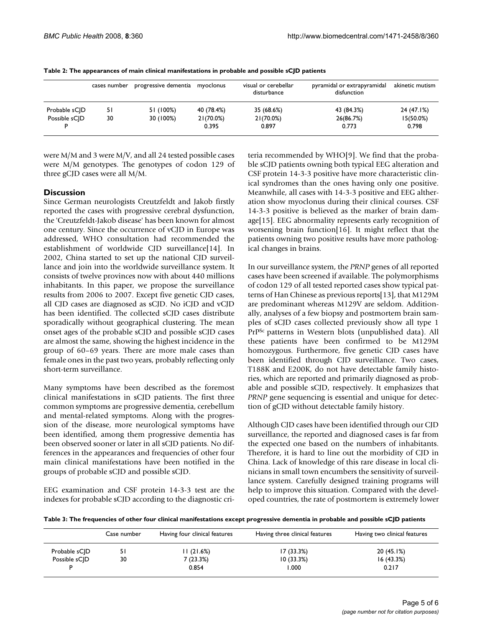|               | cases number | progressive dementia | myoclonus          | visual or cerebellar<br>disturbance | pyramidal or extrapyramidal<br>disfunction | akinetic mutism       |
|---------------|--------------|----------------------|--------------------|-------------------------------------|--------------------------------------------|-----------------------|
| Probable sCID | 51           | 51 (100%)            | 40 (78.4%)         | 35 (68.6%)                          | 43 (84.3%)                                 | 24 (47.1%)            |
| Possible sCID | 30           | 30 (100%)            | 21(70.0%)<br>0.395 | 21(70.0%)<br>0.897                  | 26(86.7%)<br>0.773                         | $15(50.0\%)$<br>0.798 |

**Table 2: The appearances of main clinical manifestations in probable and possible sCJD patients**

were M/M and 3 were M/V, and all 24 tested possible cases were M/M genotypes. The genotypes of codon 129 of three gCJD cases were all M/M.

# **Discussion**

Since German neurologists Creutzfeldt and Jakob firstly reported the cases with progressive cerebral dysfunction, the 'Creutzfeldt-Jakob disease' has been known for almost one century. Since the occurrence of vCJD in Europe was addressed, WHO consultation had recommended the establishment of worldwide CJD surveillance[14]. In 2002, China started to set up the national CJD surveillance and join into the worldwide surveillance system. It consists of twelve provinces now with about 440 millions inhabitants. In this paper, we propose the surveillance results from 2006 to 2007. Except five genetic CJD cases, all CJD cases are diagnosed as sCJD. No iCJD and vCJD has been identified. The collected sCJD cases distribute sporadically without geographical clustering. The mean onset ages of the probable sCJD and possible sCJD cases are almost the same, showing the highest incidence in the group of 60–69 years. There are more male cases than female ones in the past two years, probably reflecting only short-term surveillance.

Many symptoms have been described as the foremost clinical manifestations in sCJD patients. The first three common symptoms are progressive dementia, cerebellum and mental-related symptoms. Along with the progression of the disease, more neurological symptoms have been identified, among them progressive dementia has been observed sooner or later in all sCJD patients. No differences in the appearances and frequencies of other four main clinical manifestations have been notified in the groups of probable sCJD and possible sCJD.

EEG examination and CSF protein 14-3-3 test are the indexes for probable sCJD according to the diagnostic criteria recommended by WHO[9]. We find that the probable sCJD patients owning both typical EEG alteration and CSF protein 14-3-3 positive have more characteristic clinical syndromes than the ones having only one positive. Meanwhile, all cases with 14-3-3 positive and EEG altheration show myoclonus during their clinical courses. CSF 14-3-3 positive is believed as the marker of brain damage[15]. EEG abnormality represents early recognition of worsening brain function[16]. It might reflect that the patients owning two positive results have more pathological changes in brains.

In our surveillance system, the *PRNP* genes of all reported cases have been screened if available. The polymorphisms of codon 129 of all tested reported cases show typical patterns of Han Chinese as previous reports[13], that M129M are predominant whereas M129V are seldom. Additionally, analyses of a few biopsy and postmortem brain samples of sCJD cases collected previously show all type 1 PrPSc patterns in Western blots (unpublished data). All these patients have been confirmed to be M129M homozygous. Furthermore, five genetic CJD cases have been identified through CJD surveillance. Two cases, T188K and E200K, do not have detectable family histories, which are reported and primarily diagnosed as probable and possible sCJD, respectively. It emphasizes that *PRNP* gene sequencing is essential and unique for detection of gCJD without detectable family history.

Although CJD cases have been identified through our CJD surveillance, the reported and diagnosed cases is far from the expected one based on the numbers of inhabitants. Therefore, it is hard to line out the morbidity of CJD in China. Lack of knowledge of this rare disease in local clinicians in small town encumbers the sensitivity of surveillance system. Carefully designed training programs will help to improve this situation. Compared with the developed countries, the rate of postmortem is extremely lower

**Table 3: The frequencies of other four clinical manifestations except progressive dementia in probable and possible sCJD patients**

|               | Case number | Having four clinical features | Having three clinical features | Having two clinical features |
|---------------|-------------|-------------------------------|--------------------------------|------------------------------|
| Probable sCJD |             | 11 (21.6%)                    | 17(33.3%)                      | 20(45.1%)                    |
| Possible sC D | 30          | 7 (23.3%)                     | 10(33.3%)                      | 16(43.3%)                    |
|               |             | 0.854                         | 000.                           | 0.217                        |